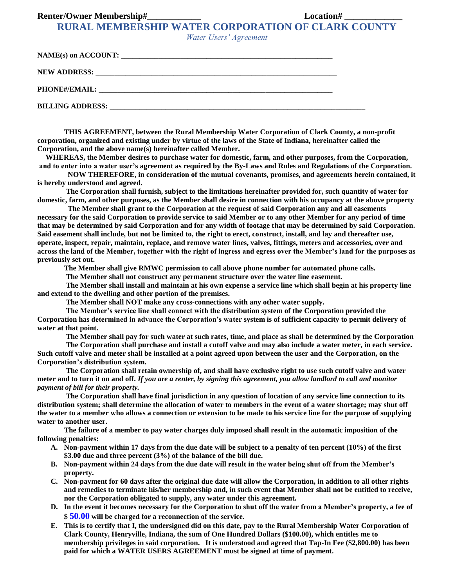#### **Renter/Owner Membership#\_\_\_\_\_\_\_\_\_\_\_\_ Location# \_\_\_\_\_\_\_\_\_\_\_\_\_**

**RURAL MEMBERSHIP WATER CORPORATION OF CLARK COUNTY**

*Water Users' Agreement*

| <b>BILLING ADDRESS:</b> |  |
|-------------------------|--|

**THIS AGREEMENT, between the Rural Membership Water Corporation of Clark County, a non-profit corporation, organized and existing under by virtue of the laws of the State of Indiana, hereinafter called the Corporation, and the above name(s) hereinafter called Member.**

**WHEREAS, the Member desires to purchase water for domestic, farm, and other purposes, from the Corporation, and to enter into a water user's agreement as required by the By-Laws and Rules and Regulations of the Corporation.**

 **NOW THEREFORE, in consideration of the mutual covenants, promises, and agreements herein contained, it is hereby understood and agreed.**

**The Corporation shall furnish, subject to the limitations hereinafter provided for, such quantity of water for domestic, farm, and other purposes, as the Member shall desire in connection with his occupancy at the above property**

 **The Member shall grant to the Corporation at the request of said Corporation any and all easements necessary for the said Corporation to provide service to said Member or to any other Member for any period of time that may be determined by said Corporation and for any width of footage that may be determined by said Corporation. Said easement shall include, but not be limited to, the right to erect, construct, install, and lay and thereafter use, operate, inspect, repair, maintain, replace, and remove water lines, valves, fittings, meters and accessories, over and across the land of the Member, together with the right of ingress and egress over the Member's land for the purposes as previously set out.** 

**The Member shall give RMWC permission to call above phone number for automated phone calls.**

**The Member shall not construct any permanent structure over the water line easement.**

**The Member shall install and maintain at his own expense a service line which shall begin at his property line and extend to the dwelling and other portion of the premises.**

**The Member shall NOT make any cross-connections with any other water supply.**

**The Member's service line shall connect with the distribution system of the Corporation provided the Corporation has determined in advance the Corporation's water system is of sufficient capacity to permit delivery of water at that point.**

**The Member shall pay for such water at such rates, time, and place as shall be determined by the Corporation**

**The Corporation shall purchase and install a cutoff valve and may also include a water meter, in each service. Such cutoff valve and meter shall be installed at a point agreed upon between the user and the Corporation, on the Corporation's distribution system.** 

**The Corporation shall retain ownership of, and shall have exclusive right to use such cutoff valve and water meter and to turn it on and off.** *If you are a renter, by signing this agreement, you allow landlord to call and monitor payment of bill for their property.*

**The Corporation shall have final jurisdiction in any question of location of any service line connection to its distribution system; shall determine the allocation of water to members in the event of a water shortage; may shut off the water to a member who allows a connection or extension to be made to his service line for the purpose of supplying water to another user.**

**The failure of a member to pay water charges duly imposed shall result in the automatic imposition of the following penalties:**

- **A. Non-payment within 17 days from the due date will be subject to a penalty of ten percent (10%) of the first \$3.00 due and three percent (3%) of the balance of the bill due.**
- **B. Non-payment within 24 days from the due date will result in the water being shut off from the Member's property.**
- **C. Non-payment for 60 days after the original due date will allow the Corporation, in addition to all other rights and remedies to terminate his/her membership and, in such event that Member shall not be entitled to receive, nor the Corporation obligated to supply, any water under this agreement.**
- **D. In the event it becomes necessary for the Corporation to shut off the water from a Member's property, a fee of \$ 50.00 will be charged for a reconnection of the service.**
- **E. This is to certify that I, the undersigned did on this date, pay to the Rural Membership Water Corporation of Clark County, Henryville, Indiana, the sum of One Hundred Dollars (\$100.00), which entitles me to membership privileges in said corporation. It is understood and agreed that Tap-In Fee (\$2,800.00) has been paid for which a WATER USERS AGREEMENT must be signed at time of payment.**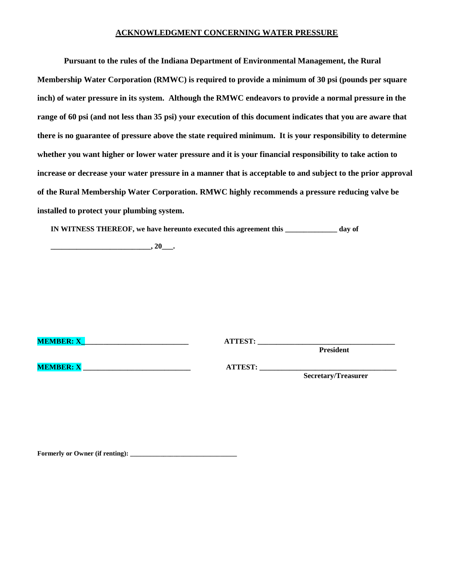#### **ACKNOWLEDGMENT CONCERNING WATER PRESSURE**

**Pursuant to the rules of the Indiana Department of Environmental Management, the Rural Membership Water Corporation (RMWC) is required to provide a minimum of 30 psi (pounds per square inch) of water pressure in its system. Although the RMWC endeavors to provide a normal pressure in the range of 60 psi (and not less than 35 psi) your execution of this document indicates that you are aware that there is no guarantee of pressure above the state required minimum. It is your responsibility to determine whether you want higher or lower water pressure and it is your financial responsibility to take action to increase or decrease your water pressure in a manner that is acceptable to and subject to the prior approval of the Rural Membership Water Corporation. RMWC highly recommends a pressure reducing valve be installed to protect your plumbing system.**

**IN WITNESS THEREOF, we have hereunto executed this agreement this \_\_\_\_\_\_\_\_\_\_\_\_\_\_ day of**

**\_\_\_\_\_\_\_\_\_\_\_\_\_\_\_\_\_\_\_\_\_\_\_\_\_\_\_, 20\_\_\_.**

| <b>MEMBER: X</b> | <b>ATTEST:</b> | <b>President</b>           |
|------------------|----------------|----------------------------|
| <b>MEMBER: X</b> | <b>ATTEST:</b> | <b>Secretary/Treasurer</b> |

Formerly or Owner (if renting):